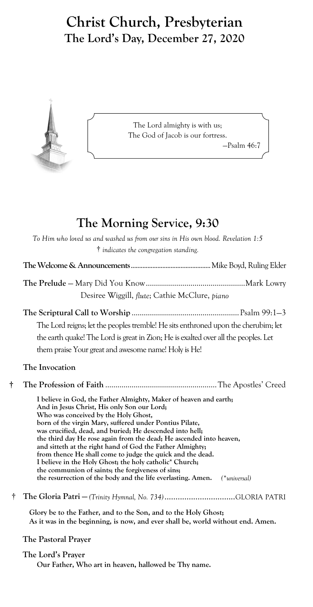# **Christ Church, Presbyterian The Lord's Day, December 27, 2020**



The Lord almighty is with us; The God of Jacob is our fortress. —Psalm 46:7

# **The Morning Serv**i**ce, 9:30**

|   | To Him who loved us and washed us from our sins in His own blood. Revelation 1:5<br>† indicates the congregation standing.      |
|---|---------------------------------------------------------------------------------------------------------------------------------|
|   |                                                                                                                                 |
|   |                                                                                                                                 |
|   | Desiree Wiggill, flute; Cathie McClure, piano                                                                                   |
|   |                                                                                                                                 |
|   | The Lord reigns; let the peoples tremble! He sits enthroned upon the cherubim; let                                              |
|   | the earth quake! The Lord is great in Zion; He is exalted over all the peoples. Let                                             |
|   | them praise Your great and awesome name! Holy is He!                                                                            |
|   | The Invocation                                                                                                                  |
| t |                                                                                                                                 |
|   | I believe in God, the Father Almighty, Maker of heaven and earth;                                                               |
|   | And in Jesus Christ, His only Son our Lord;<br>Who was conceived by the Holy Ghost,                                             |
|   | born of the virgin Mary, suffered under Pontius Pilate,                                                                         |
|   | was crucified, dead, and buried; He descended into hell;<br>the third day He rose again from the dead; He ascended into heaven, |
|   | and sitteth at the right hand of God the Father Almighty;                                                                       |
|   | from thence He shall come to judge the quick and the dead.<br>I believe in the Holy Ghost; the holy catholic* Church;           |
|   | the communion of saints; the forgiveness of sins;                                                                               |
|   | the resurrection of the body and the life everlasting. Amen.<br>$(*universal)$                                                  |
| Ť | The Gloria Patri - (Trinity Hymnal, No. 734)GLORIA PATRI                                                                        |
|   | $C1$ can be to the Fighten and to the $\mathcal{O}_{\mathbb{R}^n}$ and to the High- $C1$ cat.                                   |

**Glory be to the Father, and to the Son, and to the Holy Ghost; As it was in the beginning, is now, and ever shall be, world without end. Amen.**

**The Pastoral Prayer**

## **The Lord's Prayer**

**Our Father, Who art in heaven, hallowed be Thy name.**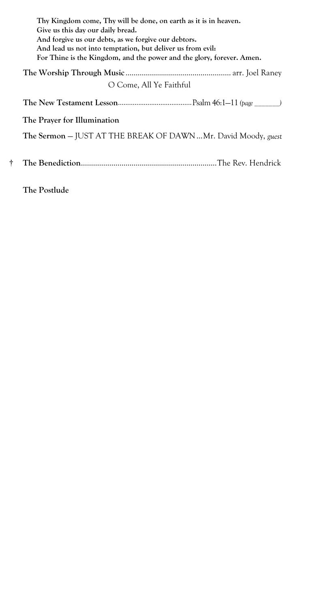|   | Thy Kingdom come, Thy will be done, on earth as it is in heaven.<br>Give us this day our daily bread.<br>And forgive us our debts, as we forgive our debtors.<br>And lead us not into temptation, but deliver us from evil:<br>For Thine is the Kingdom, and the power and the glory, forever. Amen. |
|---|------------------------------------------------------------------------------------------------------------------------------------------------------------------------------------------------------------------------------------------------------------------------------------------------------|
|   | O Come, All Ye Faithful                                                                                                                                                                                                                                                                              |
|   |                                                                                                                                                                                                                                                                                                      |
|   | The Prayer for Illumination                                                                                                                                                                                                                                                                          |
|   | <b>The Sermon</b> – JUST AT THE BREAK OF DAWN Mr. David Moody, <i>guest</i>                                                                                                                                                                                                                          |
| t |                                                                                                                                                                                                                                                                                                      |
|   |                                                                                                                                                                                                                                                                                                      |

**The Postlude**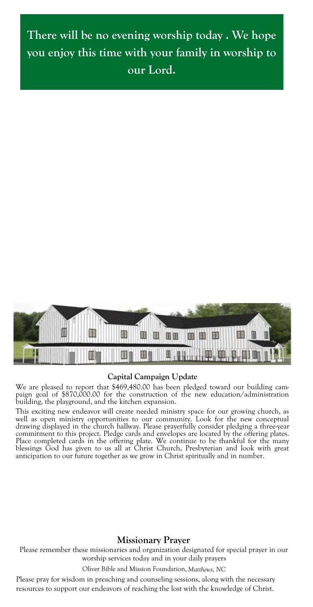**There will be no evening worship today . We hope you enjoy this time with your family in worship to our Lord.**



#### **Capital Campaign Update**

We are pleased to report that \$469,480.00 has been pledged toward our building campaign goal of \$870,000.00 for the construction of the new education/administration building, the playground, and the kitchen expansion.

This exciting new endeavor will create needed ministry space for our growing church, as well as open ministry opportunities to our community. Look for the new conceptual drawing displayed in the church hallway. Please prayerfully consider pledging a three-year commitment to this project. Pledge cards and envelopes are located by the offering plates. Place completed cards in the offering plate. We continue to be thankful for the many blessings God has given to us all at Christ Church, Presbyterian and look with great anticipation to our future together as we grow in Christ spiritually and in number.

### **Missionary Prayer**

Please remember these missionaries and organization designated for special prayer in our worship services today and in your daily prayers

Oliver Bible and Mission Foundation, *Matthews, NC*

Please pray for wisdom in preaching and counseling sessions, along with the necessary resources to support our endeavors of reaching the lost with the knowledge of Christ.